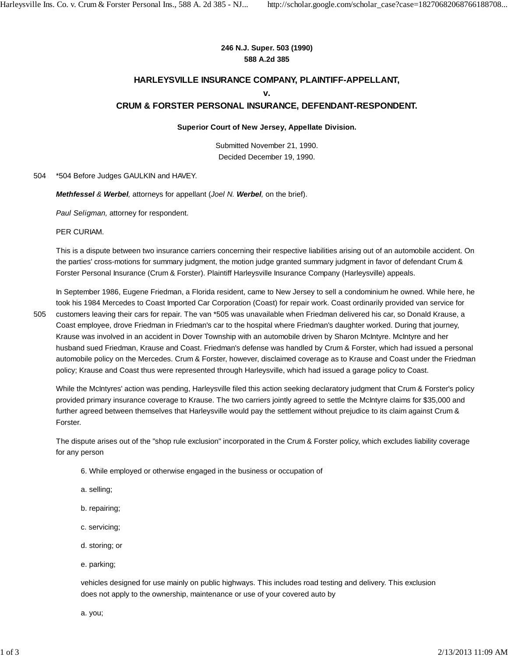## **246 N.J. Super. 503 (1990) 588 A.2d 385**

## **HARLEYSVILLE INSURANCE COMPANY, PLAINTIFF-APPELLANT,**

**v.**

## **CRUM & FORSTER PERSONAL INSURANCE, DEFENDANT-RESPONDENT.**

## **Superior Court of New Jersey, Appellate Division.**

Submitted November 21, 1990. Decided December 19, 1990.

504 \*504 Before Judges GAULKIN and HAVEY.

*Methfessel & Werbel,* attorneys for appellant (*Joel N. Werbel,* on the brief).

*Paul Seligman,* attorney for respondent.

PER CURIAM.

This is a dispute between two insurance carriers concerning their respective liabilities arising out of an automobile accident. On the parties' cross-motions for summary judgment, the motion judge granted summary judgment in favor of defendant Crum & Forster Personal Insurance (Crum & Forster). Plaintiff Harleysville Insurance Company (Harleysville) appeals.

In September 1986, Eugene Friedman, a Florida resident, came to New Jersey to sell a condominium he owned. While here, he took his 1984 Mercedes to Coast Imported Car Corporation (Coast) for repair work. Coast ordinarily provided van service for

customers leaving their cars for repair. The van \*505 was unavailable when Friedman delivered his car, so Donald Krause, a Coast employee, drove Friedman in Friedman's car to the hospital where Friedman's daughter worked. During that journey, Krause was involved in an accident in Dover Township with an automobile driven by Sharon McIntyre. McIntyre and her husband sued Friedman, Krause and Coast. Friedman's defense was handled by Crum & Forster, which had issued a personal automobile policy on the Mercedes. Crum & Forster, however, disclaimed coverage as to Krause and Coast under the Friedman policy; Krause and Coast thus were represented through Harleysville, which had issued a garage policy to Coast. 505

While the McIntyres' action was pending, Harleysville filed this action seeking declaratory judgment that Crum & Forster's policy provided primary insurance coverage to Krause. The two carriers jointly agreed to settle the McIntyre claims for \$35,000 and further agreed between themselves that Harleysville would pay the settlement without prejudice to its claim against Crum & Forster.

The dispute arises out of the "shop rule exclusion" incorporated in the Crum & Forster policy, which excludes liability coverage for any person

- 6. While employed or otherwise engaged in the business or occupation of
- a. selling;
- b. repairing;
- c. servicing;
- d. storing; or
- e. parking;

vehicles designed for use mainly on public highways. This includes road testing and delivery. This exclusion does not apply to the ownership, maintenance or use of your covered auto by

a. you;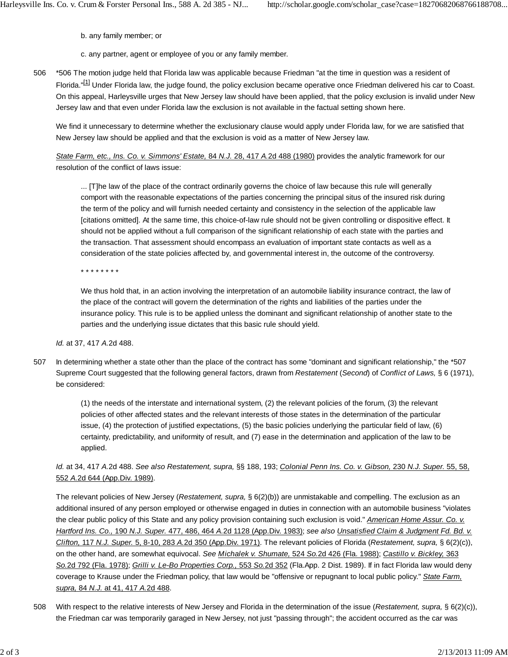b. any family member; or

c. any partner, agent or employee of you or any family member.

\*506 The motion judge held that Florida law was applicable because Friedman "at the time in question was a resident of Florida."<sup>[1]</sup> Under Florida law, the judge found, the policy exclusion became operative once Friedman delivered his car to Coast. On this appeal, Harleysville urges that New Jersey law should have been applied, that the policy exclusion is invalid under New Jersey law and that even under Florida law the exclusion is not available in the factual setting shown here. 506

We find it unnecessary to determine whether the exclusionary clause would apply under Florida law, for we are satisfied that New Jersey law should be applied and that the exclusion is void as a matter of New Jersey law.

*State Farm, etc., Ins. Co. v. Simmons' Estate,* 84 *N.J.* 28, 417 *A.*2d 488 (1980) provides the analytic framework for our resolution of the conflict of laws issue:

... [T]he law of the place of the contract ordinarily governs the choice of law because this rule will generally comport with the reasonable expectations of the parties concerning the principal situs of the insured risk during the term of the policy and will furnish needed certainty and consistency in the selection of the applicable law [citations omitted]. At the same time, this choice-of-law rule should not be given controlling or dispositive effect. It should not be applied without a full comparison of the significant relationship of each state with the parties and the transaction. That assessment should encompass an evaluation of important state contacts as well as a consideration of the state policies affected by, and governmental interest in, the outcome of the controversy.

\* \* \* \* \* \* \* \*

We thus hold that, in an action involving the interpretation of an automobile liability insurance contract, the law of the place of the contract will govern the determination of the rights and liabilities of the parties under the insurance policy. This rule is to be applied unless the dominant and significant relationship of another state to the parties and the underlying issue dictates that this basic rule should yield.

*Id.* at 37, 417 *A.*2d 488.

In determining whether a state other than the place of the contract has some "dominant and significant relationship," the \*507 Supreme Court suggested that the following general factors, drawn from *Restatement* (*Second*) of *Conflict of Laws,* § 6 (1971), be considered: 507

> (1) the needs of the interstate and international system, (2) the relevant policies of the forum, (3) the relevant policies of other affected states and the relevant interests of those states in the determination of the particular issue, (4) the protection of justified expectations, (5) the basic policies underlying the particular field of law, (6) certainty, predictability, and uniformity of result, and (7) ease in the determination and application of the law to be applied.

*Id.* at 34, 417 *A.*2d 488. *See also Restatement, supra,* §§ 188, 193; *Colonial Penn Ins. Co. v. Gibson,* 230 *N.J. Super.* 55, 58, 552 *A.*2d 644 (App.Div. 1989).

The relevant policies of New Jersey (*Restatement, supra,* § 6(2)(b)) are unmistakable and compelling. The exclusion as an additional insured of any person employed or otherwise engaged in duties in connection with an automobile business "violates the clear public policy of this State and any policy provision containing such exclusion is void." *American Home Assur. Co. v. Hartford Ins. Co.,* 190 *N.J. Super.* 477, 486, 464 *A.*2d 1128 (App.Div. 1983); *see also Unsatisfied Claim & Judgment Fd. Bd. v. Clifton,* 117 *N.J. Super.* 5, 8-10, 283 *A.*2d 350 (App.Div. 1971). The relevant policies of Florida (*Restatement, supra,* § 6(2)(c)), on the other hand, are somewhat equivocal. *See Michalek v. Shumate,* 524 *So.*2d 426 (Fla. 1988); *Castillo v. Bickley,* 363 *So.*2d 792 (Fla. 1978); *Grilli v. Le-Bo Properties Corp.,* 553 *So.*2d 352 (Fla.App. 2 Dist. 1989). If in fact Florida law would deny coverage to Krause under the Friedman policy, that law would be "offensive or repugnant to local public policy." *State Farm, supra,* 84 *N.J.* at 41, 417 *A.*2d 488.

With respect to the relative interests of New Jersey and Florida in the determination of the issue (*Restatement, supra,* § 6(2)(c)), the Friedman car was temporarily garaged in New Jersey, not just "passing through"; the accident occurred as the car was 508